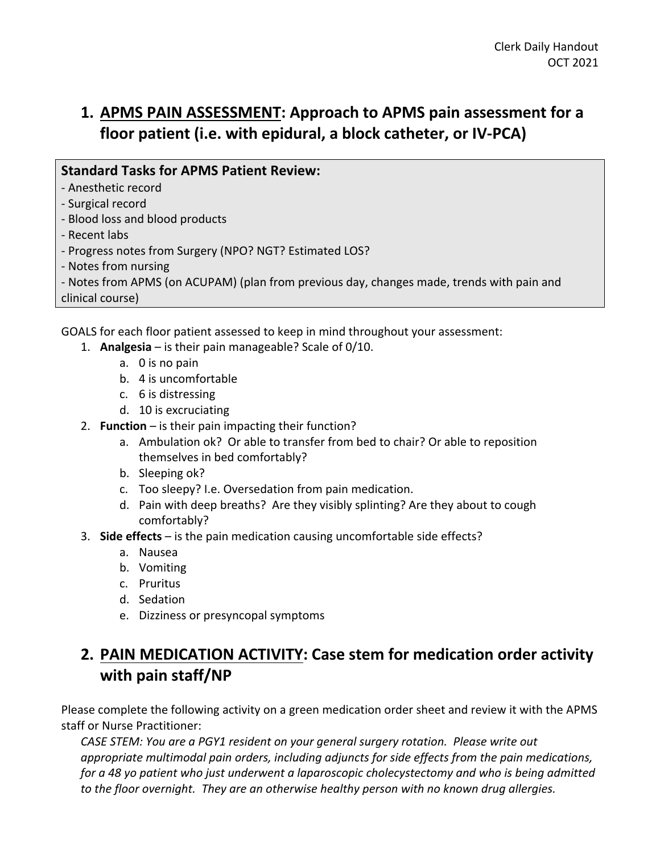# **1. APMS PAIN ASSESSMENT: Approach to APMS pain assessment for a floor patient (i.e. with epidural, a block catheter, or IV-PCA)**

#### **Standard Tasks for APMS Patient Review:**

- Anesthetic record
- Surgical record
- Blood loss and blood products
- Recent labs
- Progress notes from Surgery (NPO? NGT? Estimated LOS?
- Notes from nursing

- Notes from APMS (on ACUPAM) (plan from previous day, changes made, trends with pain and clinical course)

GOALS for each floor patient assessed to keep in mind throughout your assessment:

- 1. **Analgesia** is their pain manageable? Scale of 0/10.
	- a. 0 is no pain
	- b. 4 is uncomfortable
	- c. 6 is distressing
	- d. 10 is excruciating
- 2. **Function** is their pain impacting their function?
	- a. Ambulation ok? Or able to transfer from bed to chair? Or able to reposition themselves in bed comfortably?
	- b. Sleeping ok?
	- c. Too sleepy? I.e. Oversedation from pain medication.
	- d. Pain with deep breaths? Are they visibly splinting? Are they about to cough comfortably?
- 3. **Side effects** is the pain medication causing uncomfortable side effects?
	- a. Nausea
	- b. Vomiting
	- c. Pruritus
	- d. Sedation
	- e. Dizziness or presyncopal symptoms

## **2. PAIN MEDICATION ACTIVITY: Case stem for medication order activity with pain staff/NP**

Please complete the following activity on a green medication order sheet and review it with the APMS staff or Nurse Practitioner:

*CASE STEM: You are a PGY1 resident on your general surgery rotation. Please write out appropriate multimodal pain orders, including adjuncts for side effects from the pain medications, for a 48 yo patient who just underwent a laparoscopic cholecystectomy and who is being admitted to the floor overnight. They are an otherwise healthy person with no known drug allergies.*